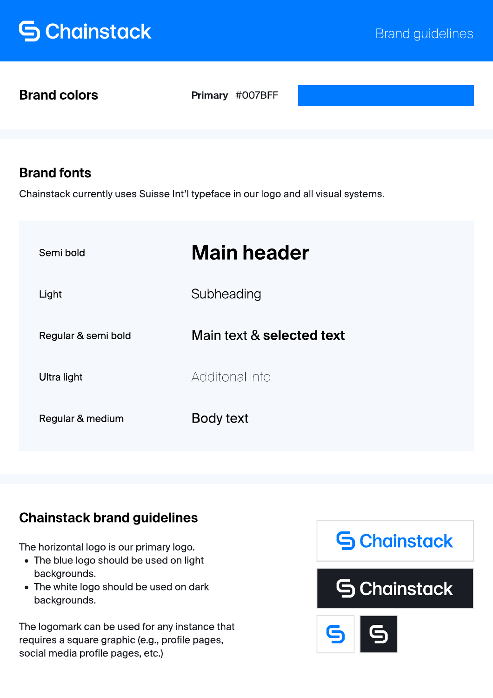# **S** Chainstack

Brand colors

Primary #007BFF

### Brand fonts

Chainstack currently uses Suisse Int'l typeface in our logo and all visual systems.

| Semi bold           | <b>Main header</b>        |
|---------------------|---------------------------|
| Light               | Subheading                |
| Regular & semi bold | Main text & selected text |
| Ultra light         | Additonal info            |
| Regular & medium    | Body text                 |

### Chainstack brand guidelines

The horizontal logo is our primary logo.

- The blue logo should be used on light backgrounds.
- The white logo should be used on dark backgrounds.

The logomark can be used for any instance that requires a square graphic (e.g., profile pages, social media profile pages, etc.)

# **S** Chainstack